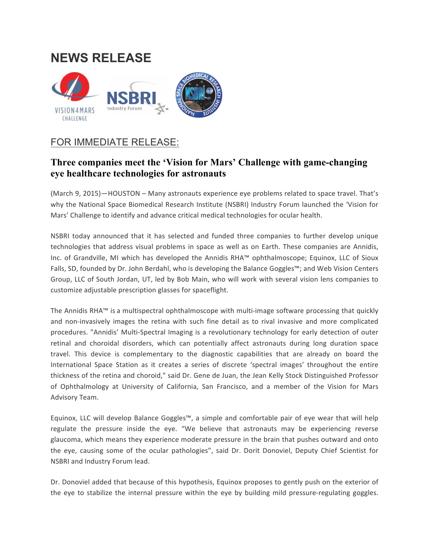## **NEWS RELEASE**



## FOR IMMEDIATE RELEASE:

## **Three companies meet the 'Vision for Mars' Challenge with game-changing eye healthcare technologies for astronauts**

(March 9, 2015)—HOUSTON – Many astronauts experience eye problems related to space travel. That's why the National Space Biomedical Research Institute (NSBRI) Industry Forum launched the 'Vision for Mars' Challenge to identify and advance critical medical technologies for ocular health.

NSBRI today announced that it has selected and funded three companies to further develop unique technologies that address visual problems in space as well as on Earth. These companies are Annidis, Inc. of Grandville, MI which has developed the Annidis RHA™ ophthalmoscope; Equinox, LLC of Sioux Falls, SD, founded by Dr. John Berdahl, who is developing the Balance Goggles™; and Web Vision Centers Group, LLC of South Jordan, UT, led by Bob Main, who will work with several vision lens companies to customize adjustable prescription glasses for spaceflight.

The Annidis RHA™ is a multispectral ophthalmoscope with multi-image software processing that quickly and non-invasively images the retina with such fine detail as to rival invasive and more complicated procedures. "Annidis' Multi-Spectral Imaging is a revolutionary technology for early detection of outer retinal and choroidal disorders, which can potentially affect astronauts during long duration space travel. This device is complementary to the diagnostic capabilities that are already on board the International Space Station as it creates a series of discrete 'spectral images' throughout the entire thickness of the retina and choroid," said Dr. Gene de Juan, the Jean Kelly Stock Distinguished Professor of Ophthalmology at University of California, San Francisco, and a member of the Vision for Mars Advisory Team.

Equinox, LLC will develop Balance Goggles™, a simple and comfortable pair of eye wear that will help regulate the pressure inside the eye. "We believe that astronauts may be experiencing reverse glaucoma, which means they experience moderate pressure in the brain that pushes outward and onto the eye, causing some of the ocular pathologies", said Dr. Dorit Donoviel, Deputy Chief Scientist for NSBRI and Industry Forum lead.

Dr. Donoviel added that because of this hypothesis, Equinox proposes to gently push on the exterior of the eye to stabilize the internal pressure within the eye by building mild pressure-regulating goggles.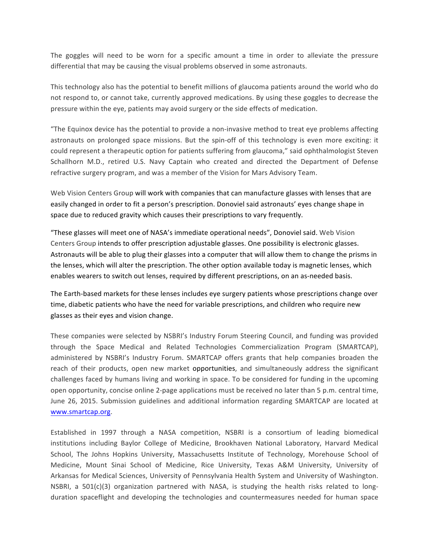The goggles will need to be worn for a specific amount a time in order to alleviate the pressure differential that may be causing the visual problems observed in some astronauts.

This technology also has the potential to benefit millions of glaucoma patients around the world who do not respond to, or cannot take, currently approved medications. By using these goggles to decrease the pressure within the eye, patients may avoid surgery or the side effects of medication.

"The Equinox device has the potential to provide a non-invasive method to treat eye problems affecting astronauts on prolonged space missions. But the spin-off of this technology is even more exciting: it could represent a therapeutic option for patients suffering from glaucoma," said ophthalmologist Steven Schallhorn M.D., retired U.S. Navy Captain who created and directed the Department of Defense refractive surgery program, and was a member of the Vision for Mars Advisory Team.

Web Vision Centers Group will work with companies that can manufacture glasses with lenses that are easily changed in order to fit a person's prescription. Donoviel said astronauts' eyes change shape in space due to reduced gravity which causes their prescriptions to vary frequently.

"These glasses will meet one of NASA's immediate operational needs", Donoviel said. Web Vision Centers Group intends to offer prescription adjustable glasses. One possibility is electronic glasses. Astronauts will be able to plug their glasses into a computer that will allow them to change the prisms in the lenses, which will alter the prescription. The other option available today is magnetic lenses, which enables wearers to switch out lenses, required by different prescriptions, on an as-needed basis.

The Earth-based markets for these lenses includes eye surgery patients whose prescriptions change over time, diabetic patients who have the need for variable prescriptions, and children who require new glasses as their eyes and vision change.

These companies were selected by NSBRI's Industry Forum Steering Council, and funding was provided through the Space Medical and Related Technologies Commercialization Program (SMARTCAP), administered by NSBRI's Industry Forum. SMARTCAP offers grants that help companies broaden the reach of their products, open new market opportunities, and simultaneously address the significant challenges faced by humans living and working in space. To be considered for funding in the upcoming open opportunity, concise online 2-page applications must be received no later than 5 p.m. central time, June 26, 2015. Submission guidelines and additional information regarding SMARTCAP are located at www.smartcap.org.

Established in 1997 through a NASA competition, NSBRI is a consortium of leading biomedical institutions including Baylor College of Medicine, Brookhaven National Laboratory, Harvard Medical School, The Johns Hopkins University, Massachusetts Institute of Technology, Morehouse School of Medicine, Mount Sinai School of Medicine, Rice University, Texas A&M University, University of Arkansas for Medical Sciences, University of Pennsylvania Health System and University of Washington. NSBRI, a  $501(c)(3)$  organization partnered with NASA, is studying the health risks related to longduration spaceflight and developing the technologies and countermeasures needed for human space